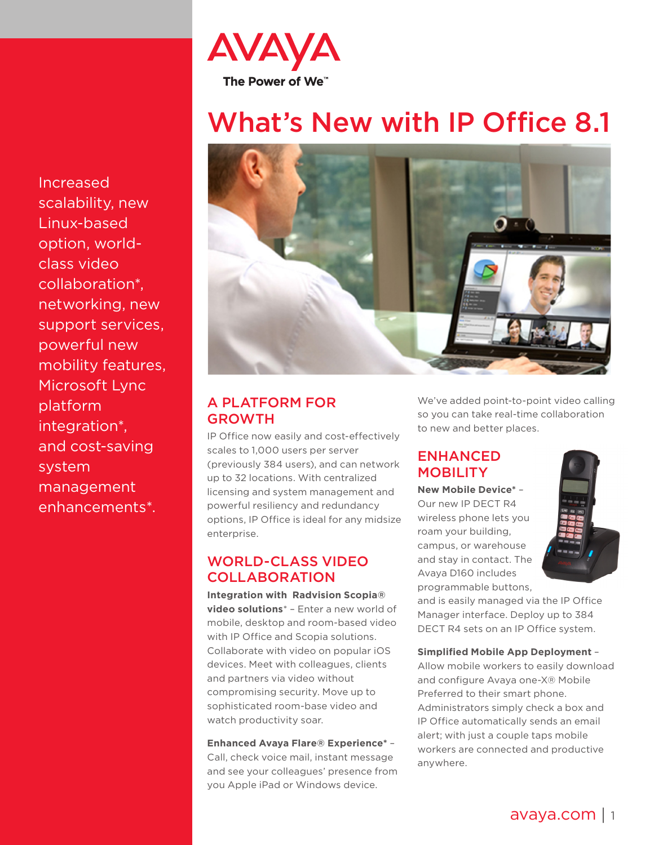

# What's New with IP Office 8.1



# A PLATFORM FOR GROWTH

IP Office now easily and cost-effectively scales to 1,000 users per server (previously 384 users), and can network up to 32 locations. With centralized licensing and system management and powerful resiliency and redundancy options, IP Office is ideal for any midsize enterprise.

## WORLD-CLASS VIDEO **COLLABORATION**

**Integration with Radvision Scopia® video solutions**\* – Enter a new world of mobile, desktop and room-based video with IP Office and Scopia solutions. Collaborate with video on popular iOS devices. Meet with colleagues, clients and partners via video without compromising security. Move up to sophisticated room-base video and watch productivity soar.

#### **Enhanced Avaya Flare® Experience\*** – Call, check voice mail, instant message and see your colleagues' presence from you Apple iPad or Windows device.

We've added point-to-point video calling so you can take real-time collaboration to new and better places.

## ENHANCED MOBILITY

**New Mobile Device\*** – Our new IP DECT R4 wireless phone lets you roam your building, campus, or warehouse and stay in contact. The Avaya D160 includes programmable buttons,



and is easily managed via the IP Office Manager interface. Deploy up to 384 DECT R4 sets on an IP Office system.

#### **Simplified Mobile App Deployment** –

Allow mobile workers to easily download and configure Avaya one-X® Mobile Preferred to their smart phone. Administrators simply check a box and IP Office automatically sends an email alert; with just a couple taps mobile workers are connected and productive anywhere.

Increased scalability, new Linux-based option, worldclass video collaboration\*, networking, new support services, powerful new mobility features, Microsoft Lync platform integration\*, and cost-saving system management enhancements\*.